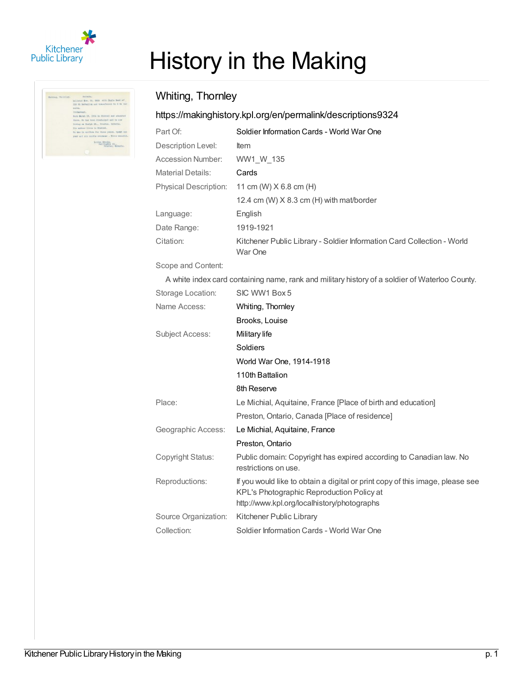

| Shittee, Thorning. | Twl maller                                               |
|--------------------|----------------------------------------------------------|
|                    | milyned dow. IS, 1918 9115 Butle-Beat of                 |
|                    | 113 th Jattalitz and transferred to 2 12 73-             |
|                    | acers.                                                   |
|                    | Pretestant.                                              |
|                    | Som Marsh IB, IS94 in Stehdal and elasabeli              |
|                    | there, in has been discharged only for new               |
|                    | listar om Bosleb SR., Freebok; Caterio.                  |
|                    | His sauber lives is fishing.                             |
|                    | In me in uniform for these point, lyont one              |
|                    | year and six parelle everyone . Sever sounded            |
|                    | Lunces Brooks.<br>Twl: finance Hit.<br>roldisco Bonarie. |

## History in the Making

## Whiting, Thornley

## <https://makinghistory.kpl.org/en/permalink/descriptions9324>

| Part Of:                     | Soldier Information Cards - World War One                                         |
|------------------------------|-----------------------------------------------------------------------------------|
| Description Level:           | <b>Item</b>                                                                       |
| Accession Number:            | WW1 W 135                                                                         |
| <b>Material Details:</b>     | Cards                                                                             |
| <b>Physical Description:</b> | 11 cm (W) $X$ 6.8 cm (H)                                                          |
|                              | 12.4 cm (W) $X$ 8.3 cm (H) with mat/border                                        |
| Language:                    | English                                                                           |
| Date Range:                  | 1919-1921                                                                         |
| Citation:                    | Kitchener Public Library - Soldier Information Card Collection - World<br>War One |

Scope and Content:

A white index card containing name, rank and military history of a soldier of Waterloo County.

| Storage Location:    | SIC WW1 Box 5                                                                                                                                                             |
|----------------------|---------------------------------------------------------------------------------------------------------------------------------------------------------------------------|
| Name Access:         | Whiting, Thornley                                                                                                                                                         |
|                      | Brooks, Louise                                                                                                                                                            |
| Subject Access:      | Military life                                                                                                                                                             |
|                      | Soldiers                                                                                                                                                                  |
|                      | World War One, 1914-1918                                                                                                                                                  |
|                      | 110th Battalion                                                                                                                                                           |
|                      | 8th Reserve                                                                                                                                                               |
| Place:               | Le Michial, Aquitaine, France [Place of birth and education]                                                                                                              |
|                      | Preston, Ontario, Canada [Place of residence]                                                                                                                             |
| Geographic Access:   | Le Michial, Aquitaine, France                                                                                                                                             |
|                      | Preston, Ontario                                                                                                                                                          |
| Copyright Status:    | Public domain: Copyright has expired according to Canadian law. No<br>restrictions on use.                                                                                |
| Reproductions:       | If you would like to obtain a digital or print copy of this image, please see<br>KPL's Photographic Reproduction Policy at<br>http://www.kpl.org/localhistory/photographs |
| Source Organization: | Kitchener Public Library                                                                                                                                                  |
| Collection:          | Soldier Information Cards - World War One                                                                                                                                 |
|                      |                                                                                                                                                                           |